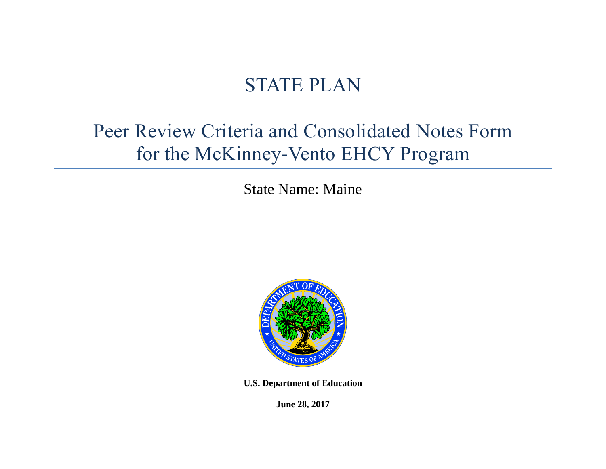# STATE PLAN

# Peer Review Criteria and Consolidated Notes Form for the McKinney-Vento EHCY Program

State Name: Maine



**U.S. Department of Education** 

**June 28, 2017**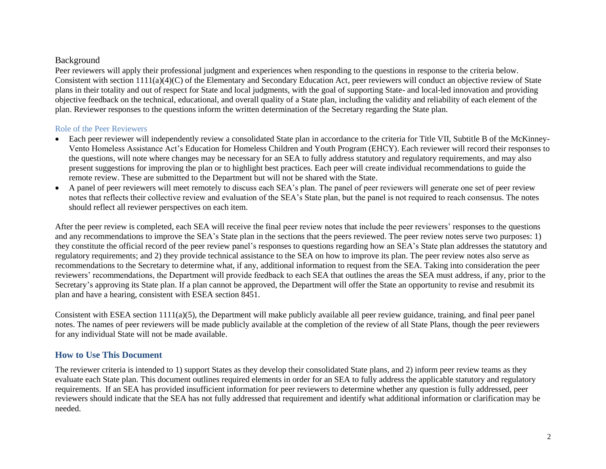#### Background

Peer reviewers will apply their professional judgment and experiences when responding to the questions in response to the criteria below. Consistent with section 1111(a)(4)(C) of the Elementary and Secondary Education Act, peer reviewers will conduct an objective review of State plans in their totality and out of respect for State and local judgments, with the goal of supporting State- and local-led innovation and providing objective feedback on the technical, educational, and overall quality of a State plan, including the validity and reliability of each element of the plan. Reviewer responses to the questions inform the written determination of the Secretary regarding the State plan.

#### Role of the Peer Reviewers

- Each peer reviewer will independently review a consolidated State plan in accordance to the criteria for Title VII, Subtitle B of the McKinney-Vento Homeless Assistance Act's Education for Homeless Children and Youth Program (EHCY). Each reviewer will record their responses to the questions, will note where changes may be necessary for an SEA to fully address statutory and regulatory requirements, and may also present suggestions for improving the plan or to highlight best practices. Each peer will create individual recommendations to guide the remote review. These are submitted to the Department but will not be shared with the State.
- A panel of peer reviewers will meet remotely to discuss each SEA's plan. The panel of peer reviewers will generate one set of peer review notes that reflects their collective review and evaluation of the SEA's State plan, but the panel is not required to reach consensus. The notes should reflect all reviewer perspectives on each item.

After the peer review is completed, each SEA will receive the final peer review notes that include the peer reviewers' responses to the questions and any recommendations to improve the SEA's State plan in the sections that the peers reviewed. The peer review notes serve two purposes: 1) they constitute the official record of the peer review panel's responses to questions regarding how an SEA's State plan addresses the statutory and regulatory requirements; and 2) they provide technical assistance to the SEA on how to improve its plan. The peer review notes also serve as recommendations to the Secretary to determine what, if any, additional information to request from the SEA. Taking into consideration the peer reviewers' recommendations, the Department will provide feedback to each SEA that outlines the areas the SEA must address, if any, prior to the Secretary's approving its State plan. If a plan cannot be approved, the Department will offer the State an opportunity to revise and resubmit its plan and have a hearing, consistent with ESEA section 8451.

Consistent with ESEA section 1111(a)(5), the Department will make publicly available all peer review guidance, training, and final peer panel notes. The names of peer reviewers will be made publicly available at the completion of the review of all State Plans, though the peer reviewers for any individual State will not be made available.

#### **How to Use This Document**

The reviewer criteria is intended to 1) support States as they develop their consolidated State plans, and 2) inform peer review teams as they evaluate each State plan. This document outlines required elements in order for an SEA to fully address the applicable statutory and regulatory requirements. If an SEA has provided insufficient information for peer reviewers to determine whether any question is fully addressed, peer reviewers should indicate that the SEA has not fully addressed that requirement and identify what additional information or clarification may be needed.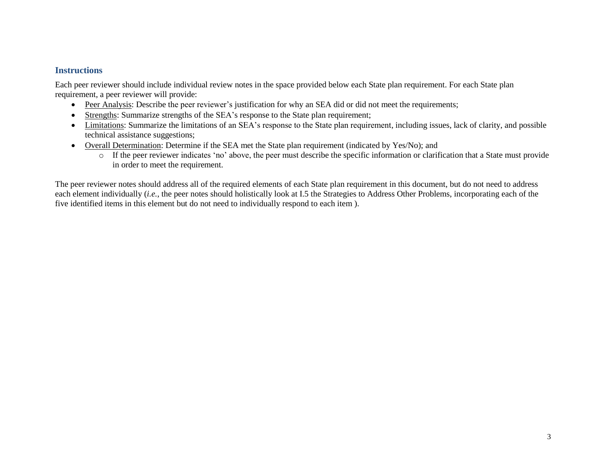#### **Instructions**

Each peer reviewer should include individual review notes in the space provided below each State plan requirement. For each State plan requirement, a peer reviewer will provide:

- Peer Analysis: Describe the peer reviewer's justification for why an SEA did or did not meet the requirements;
- Strengths: Summarize strengths of the SEA's response to the State plan requirement;
- Limitations: Summarize the limitations of an SEA's response to the State plan requirement, including issues, lack of clarity, and possible technical assistance suggestions;
- Overall Determination: Determine if the SEA met the State plan requirement (indicated by Yes/No); and
	- o If the peer reviewer indicates 'no' above, the peer must describe the specific information or clarification that a State must provide in order to meet the requirement.

The peer reviewer notes should address all of the required elements of each State plan requirement in this document, but do not need to address each element individually (*i.e.*, the peer notes should holistically look at I.5 the Strategies to Address Other Problems, incorporating each of the five identified items in this element but do not need to individually respond to each item ).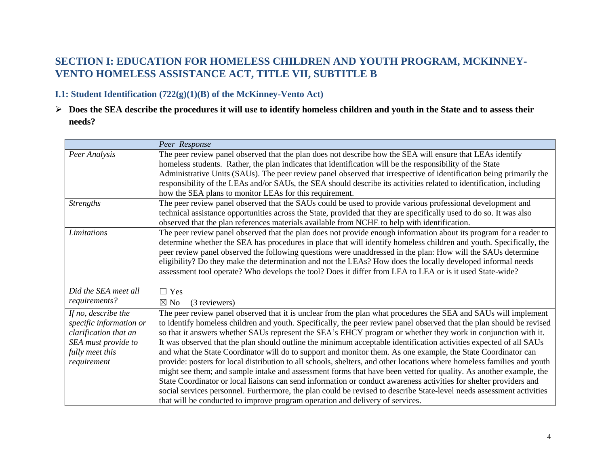# **SECTION I: EDUCATION FOR HOMELESS CHILDREN AND YOUTH PROGRAM, MCKINNEY-VENTO HOMELESS ASSISTANCE ACT, TITLE VII, SUBTITLE B**

#### **I.1: Student Identification (722(g)(1)(B) of the McKinney-Vento Act)**

 **Does the SEA describe the procedures it will use to identify homeless children and youth in the State and to assess their needs?**

|                         | Peer Response                                                                                                           |
|-------------------------|-------------------------------------------------------------------------------------------------------------------------|
| Peer Analysis           | The peer review panel observed that the plan does not describe how the SEA will ensure that LEAs identify               |
|                         | homeless students. Rather, the plan indicates that identification will be the responsibility of the State               |
|                         | Administrative Units (SAUs). The peer review panel observed that irrespective of identification being primarily the     |
|                         | responsibility of the LEAs and/or SAUs, the SEA should describe its activities related to identification, including     |
|                         | how the SEA plans to monitor LEAs for this requirement.                                                                 |
| <b>Strengths</b>        | The peer review panel observed that the SAUs could be used to provide various professional development and              |
|                         | technical assistance opportunities across the State, provided that they are specifically used to do so. It was also     |
|                         | observed that the plan references materials available from NCHE to help with identification.                            |
| Limitations             | The peer review panel observed that the plan does not provide enough information about its program for a reader to      |
|                         | determine whether the SEA has procedures in place that will identify homeless children and youth. Specifically, the     |
|                         | peer review panel observed the following questions were unaddressed in the plan: How will the SAUs determine            |
|                         | eligibility? Do they make the determination and not the LEAs? How does the locally developed informal needs             |
|                         | assessment tool operate? Who develops the tool? Does it differ from LEA to LEA or is it used State-wide?                |
| Did the SEA meet all    | $\Box$ Yes                                                                                                              |
| requirements?           | (3 reviewers)<br>$\boxtimes$ No                                                                                         |
| If no, describe the     | The peer review panel observed that it is unclear from the plan what procedures the SEA and SAUs will implement         |
| specific information or | to identify homeless children and youth. Specifically, the peer review panel observed that the plan should be revised   |
| clarification that an   | so that it answers whether SAUs represent the SEA's EHCY program or whether they work in conjunction with it.           |
| SEA must provide to     | It was observed that the plan should outline the minimum acceptable identification activities expected of all SAUs      |
| fully meet this         | and what the State Coordinator will do to support and monitor them. As one example, the State Coordinator can           |
| requirement             | provide: posters for local distribution to all schools, shelters, and other locations where homeless families and youth |
|                         | might see them; and sample intake and assessment forms that have been vetted for quality. As another example, the       |
|                         | State Coordinator or local liaisons can send information or conduct awareness activities for shelter providers and      |
|                         | social services personnel. Furthermore, the plan could be revised to describe State-level needs assessment activities   |
|                         | that will be conducted to improve program operation and delivery of services.                                           |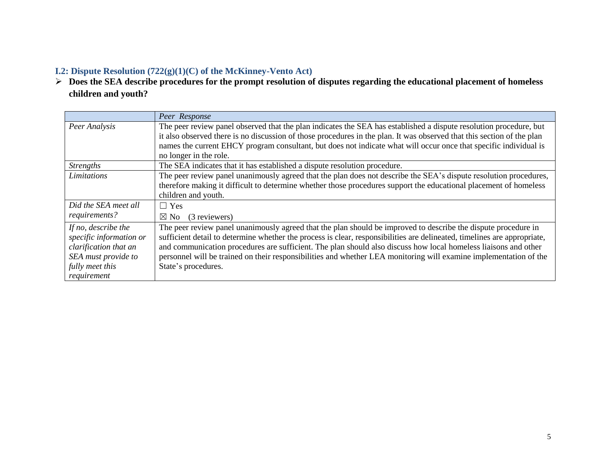# **I.2: Dispute Resolution (722(g)(1)(C) of the McKinney-Vento Act)**

 **Does the SEA describe procedures for the prompt resolution of disputes regarding the educational placement of homeless children and youth?** 

|                         | Peer Response                                                                                                            |
|-------------------------|--------------------------------------------------------------------------------------------------------------------------|
| Peer Analysis           | The peer review panel observed that the plan indicates the SEA has established a dispute resolution procedure, but       |
|                         | it also observed there is no discussion of those procedures in the plan. It was observed that this section of the plan   |
|                         | names the current EHCY program consultant, but does not indicate what will occur once that specific individual is        |
|                         | no longer in the role.                                                                                                   |
| <b>Strengths</b>        | The SEA indicates that it has established a dispute resolution procedure.                                                |
| Limitations             | The peer review panel unanimously agreed that the plan does not describe the SEA's dispute resolution procedures,        |
|                         | therefore making it difficult to determine whether those procedures support the educational placement of homeless        |
|                         | children and youth.                                                                                                      |
| Did the SEA meet all    | $\Box$ Yes                                                                                                               |
| requirements?           | (3 reviewers)<br>$\boxtimes$ No                                                                                          |
| If no, describe the     | The peer review panel unanimously agreed that the plan should be improved to describe the dispute procedure in           |
| specific information or | sufficient detail to determine whether the process is clear, responsibilities are delineated, timelines are appropriate, |
| clarification that an   | and communication procedures are sufficient. The plan should also discuss how local homeless liaisons and other          |
| SEA must provide to     | personnel will be trained on their responsibilities and whether LEA monitoring will examine implementation of the        |
| fully meet this         | State's procedures.                                                                                                      |
| requirement             |                                                                                                                          |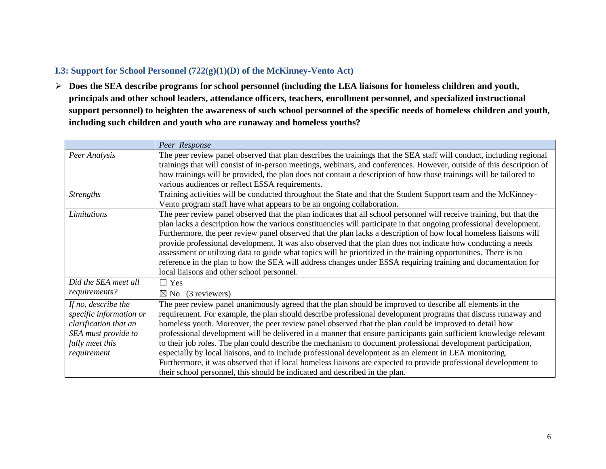### **I.3: Support for School Personnel (722(g)(1)(D) of the McKinney-Vento Act)**

 **Does the SEA describe programs for school personnel (including the LEA liaisons for homeless children and youth, principals and other school leaders, attendance officers, teachers, enrollment personnel, and specialized instructional support personnel) to heighten the awareness of such school personnel of the specific needs of homeless children and youth, including such children and youth who are runaway and homeless youths?**

|                                                                                                                                  | Peer Response                                                                                                                                                                                                                                                                                                                                                                                                                                                                                                                                                                                                                                                                                                                                                                                                                                                                            |
|----------------------------------------------------------------------------------------------------------------------------------|------------------------------------------------------------------------------------------------------------------------------------------------------------------------------------------------------------------------------------------------------------------------------------------------------------------------------------------------------------------------------------------------------------------------------------------------------------------------------------------------------------------------------------------------------------------------------------------------------------------------------------------------------------------------------------------------------------------------------------------------------------------------------------------------------------------------------------------------------------------------------------------|
| Peer Analysis                                                                                                                    | The peer review panel observed that plan describes the trainings that the SEA staff will conduct, including regional<br>trainings that will consist of in-person meetings, webinars, and conferences. However, outside of this description of<br>how trainings will be provided, the plan does not contain a description of how those trainings will be tailored to<br>various audiences or reflect ESSA requirements.                                                                                                                                                                                                                                                                                                                                                                                                                                                                   |
| <b>Strengths</b>                                                                                                                 | Training activities will be conducted throughout the State and that the Student Support team and the McKinney-<br>Vento program staff have what appears to be an ongoing collaboration.                                                                                                                                                                                                                                                                                                                                                                                                                                                                                                                                                                                                                                                                                                  |
| Limitations                                                                                                                      | The peer review panel observed that the plan indicates that all school personnel will receive training, but that the<br>plan lacks a description how the various constituencies will participate in that ongoing professional development.<br>Furthermore, the peer review panel observed that the plan lacks a description of how local homeless liaisons will<br>provide professional development. It was also observed that the plan does not indicate how conducting a needs<br>assessment or utilizing data to guide what topics will be prioritized in the training opportunities. There is no<br>reference in the plan to how the SEA will address changes under ESSA requiring training and documentation for<br>local liaisons and other school personnel.                                                                                                                      |
| Did the SEA meet all<br>requirements?                                                                                            | $\Box$ Yes<br>$\boxtimes$ No (3 reviewers)                                                                                                                                                                                                                                                                                                                                                                                                                                                                                                                                                                                                                                                                                                                                                                                                                                               |
| If no, describe the<br>specific information or<br>clarification that an<br>SEA must provide to<br>fully meet this<br>requirement | The peer review panel unanimously agreed that the plan should be improved to describe all elements in the<br>requirement. For example, the plan should describe professional development programs that discuss runaway and<br>homeless youth. Moreover, the peer review panel observed that the plan could be improved to detail how<br>professional development will be delivered in a manner that ensure participants gain sufficient knowledge relevant<br>to their job roles. The plan could describe the mechanism to document professional development participation,<br>especially by local liaisons, and to include professional development as an element in LEA monitoring.<br>Furthermore, it was observed that if local homeless liaisons are expected to provide professional development to<br>their school personnel, this should be indicated and described in the plan. |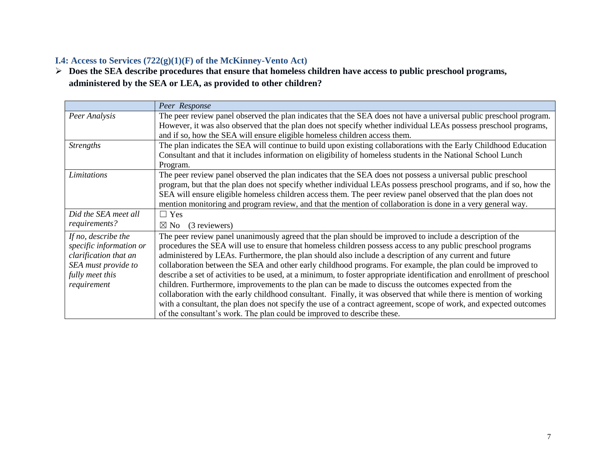# **I.4: Access to Services (722(g)(1)(F) of the McKinney-Vento Act)**

 **Does the SEA describe procedures that ensure that homeless children have access to public preschool programs, administered by the SEA or LEA, as provided to other children?** 

|                         | Peer Response                                                                                                           |
|-------------------------|-------------------------------------------------------------------------------------------------------------------------|
| Peer Analysis           | The peer review panel observed the plan indicates that the SEA does not have a universal public preschool program.      |
|                         | However, it was also observed that the plan does not specify whether individual LEAs possess preschool programs,        |
|                         | and if so, how the SEA will ensure eligible homeless children access them.                                              |
| <b>Strengths</b>        | The plan indicates the SEA will continue to build upon existing collaborations with the Early Childhood Education       |
|                         | Consultant and that it includes information on eligibility of homeless students in the National School Lunch            |
|                         | Program.                                                                                                                |
| Limitations             | The peer review panel observed the plan indicates that the SEA does not possess a universal public preschool            |
|                         | program, but that the plan does not specify whether individual LEAs possess preschool programs, and if so, how the      |
|                         | SEA will ensure eligible homeless children access them. The peer review panel observed that the plan does not           |
|                         | mention monitoring and program review, and that the mention of collaboration is done in a very general way.             |
|                         |                                                                                                                         |
| Did the SEA meet all    | $\Box$ Yes                                                                                                              |
| requirements?           | (3 reviewers)<br>$\boxtimes$ No                                                                                         |
| If no, describe the     | The peer review panel unanimously agreed that the plan should be improved to include a description of the               |
| specific information or | procedures the SEA will use to ensure that homeless children possess access to any public preschool programs            |
| clarification that an   | administered by LEAs. Furthermore, the plan should also include a description of any current and future                 |
| SEA must provide to     | collaboration between the SEA and other early childhood programs. For example, the plan could be improved to            |
| fully meet this         | describe a set of activities to be used, at a minimum, to foster appropriate identification and enrollment of preschool |
| requirement             | children. Furthermore, improvements to the plan can be made to discuss the outcomes expected from the                   |
|                         | collaboration with the early childhood consultant. Finally, it was observed that while there is mention of working      |
|                         | with a consultant, the plan does not specify the use of a contract agreement, scope of work, and expected outcomes      |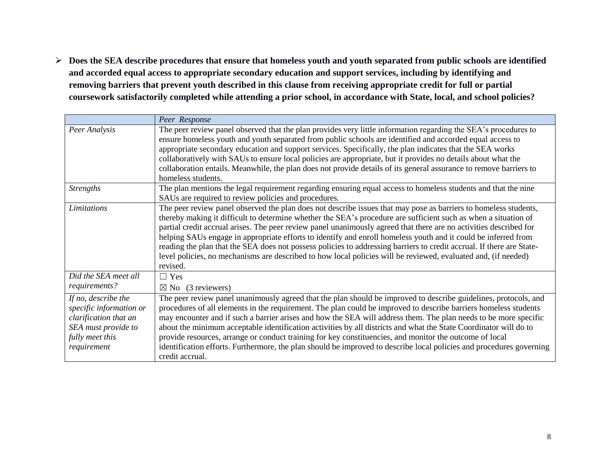**Does the SEA describe procedures that ensure that homeless youth and youth separated from public schools are identified and accorded equal access to appropriate secondary education and support services, including by identifying and removing barriers that prevent youth described in this clause from receiving appropriate credit for full or partial coursework satisfactorily completed while attending a prior school, in accordance with State, local, and school policies?**

|                                                                                                                                  | Peer Response                                                                                                                                                                                                                                                                                                                                                                                                                                                                                                                                                                                                                                                                                                                       |
|----------------------------------------------------------------------------------------------------------------------------------|-------------------------------------------------------------------------------------------------------------------------------------------------------------------------------------------------------------------------------------------------------------------------------------------------------------------------------------------------------------------------------------------------------------------------------------------------------------------------------------------------------------------------------------------------------------------------------------------------------------------------------------------------------------------------------------------------------------------------------------|
| Peer Analysis                                                                                                                    | The peer review panel observed that the plan provides very little information regarding the SEA's procedures to<br>ensure homeless youth and youth separated from public schools are identified and accorded equal access to<br>appropriate secondary education and support services. Specifically, the plan indicates that the SEA works<br>collaboratively with SAUs to ensure local policies are appropriate, but it provides no details about what the<br>collaboration entails. Meanwhile, the plan does not provide details of its general assurance to remove barriers to<br>homeless students.                                                                                                                              |
| <b>Strengths</b>                                                                                                                 | The plan mentions the legal requirement regarding ensuring equal access to homeless students and that the nine<br>SAUs are required to review policies and procedures.                                                                                                                                                                                                                                                                                                                                                                                                                                                                                                                                                              |
| <b>Limitations</b>                                                                                                               | The peer review panel observed the plan does not describe issues that may pose as barriers to homeless students,<br>thereby making it difficult to determine whether the SEA's procedure are sufficient such as when a situation of<br>partial credit accrual arises. The peer review panel unanimously agreed that there are no activities described for<br>helping SAUs engage in appropriate efforts to identify and enroll homeless youth and it could be inferred from<br>reading the plan that the SEA does not possess policies to addressing barriers to credit accrual. If there are State-<br>level policies, no mechanisms are described to how local policies will be reviewed, evaluated and, (if needed)<br>revised.  |
| Did the SEA meet all<br>requirements?                                                                                            | $\Box$ Yes<br>(3 reviewers)<br>$\boxtimes$ No                                                                                                                                                                                                                                                                                                                                                                                                                                                                                                                                                                                                                                                                                       |
| If no, describe the<br>specific information or<br>clarification that an<br>SEA must provide to<br>fully meet this<br>requirement | The peer review panel unanimously agreed that the plan should be improved to describe guidelines, protocols, and<br>procedures of all elements in the requirement. The plan could be improved to describe barriers homeless students<br>may encounter and if such a barrier arises and how the SEA will address them. The plan needs to be more specific<br>about the minimum acceptable identification activities by all districts and what the State Coordinator will do to<br>provide resources, arrange or conduct training for key constituencies, and monitor the outcome of local<br>identification efforts. Furthermore, the plan should be improved to describe local policies and procedures governing<br>credit accrual. |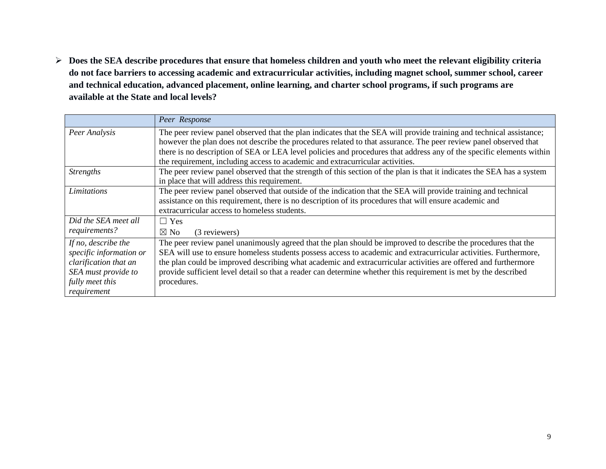**Does the SEA describe procedures that ensure that homeless children and youth who meet the relevant eligibility criteria do not face barriers to accessing academic and extracurricular activities, including magnet school, summer school, career and technical education, advanced placement, online learning, and charter school programs, if such programs are available at the State and local levels?** 

|                         | Peer Response                                                                                                          |
|-------------------------|------------------------------------------------------------------------------------------------------------------------|
| Peer Analysis           | The peer review panel observed that the plan indicates that the SEA will provide training and technical assistance;    |
|                         | however the plan does not describe the procedures related to that assurance. The peer review panel observed that       |
|                         | there is no description of SEA or LEA level policies and procedures that address any of the specific elements within   |
|                         | the requirement, including access to academic and extracurricular activities.                                          |
| <b>Strengths</b>        | The peer review panel observed that the strength of this section of the plan is that it indicates the SEA has a system |
|                         | in place that will address this requirement.                                                                           |
| Limitations             | The peer review panel observed that outside of the indication that the SEA will provide training and technical         |
|                         | assistance on this requirement, there is no description of its procedures that will ensure academic and                |
|                         | extracurricular access to homeless students.                                                                           |
| Did the SEA meet all    | $\Box$ Yes                                                                                                             |
| requirements?           | $\boxtimes$ No<br>(3 reviewers)                                                                                        |
| If no, describe the     | The peer review panel unanimously agreed that the plan should be improved to describe the procedures that the          |
| specific information or | SEA will use to ensure homeless students possess access to academic and extracurricular activities. Furthermore,       |
| clarification that an   | the plan could be improved describing what academic and extracurricular activities are offered and furthermore         |
| SEA must provide to     | provide sufficient level detail so that a reader can determine whether this requirement is met by the described        |
| fully meet this         | procedures.                                                                                                            |
| requirement             |                                                                                                                        |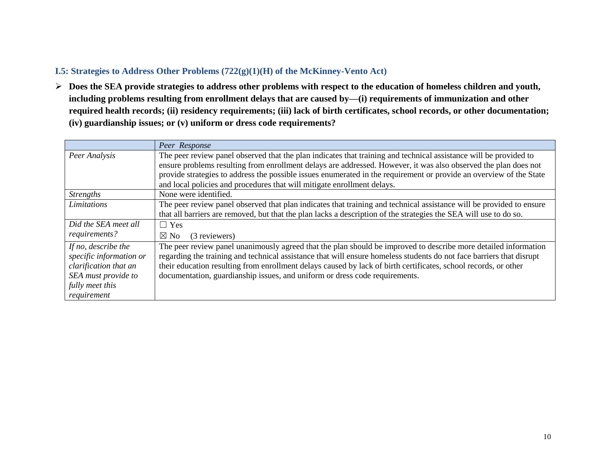### **I.5: Strategies to Address Other Problems (722(g)(1)(H) of the McKinney-Vento Act)**

 **Does the SEA provide strategies to address other problems with respect to the education of homeless children and youth, including problems resulting from enrollment delays that are caused by—(i) requirements of immunization and other required health records; (ii) residency requirements; (iii) lack of birth certificates, school records, or other documentation; (iv) guardianship issues; or (v) uniform or dress code requirements?**

|                         | Peer Response                                                                                                        |
|-------------------------|----------------------------------------------------------------------------------------------------------------------|
| Peer Analysis           | The peer review panel observed that the plan indicates that training and technical assistance will be provided to    |
|                         | ensure problems resulting from enrollment delays are addressed. However, it was also observed the plan does not      |
|                         | provide strategies to address the possible issues enumerated in the requirement or provide an overview of the State  |
|                         | and local policies and procedures that will mitigate enrollment delays.                                              |
| <b>Strengths</b>        | None were identified.                                                                                                |
| Limitations             | The peer review panel observed that plan indicates that training and technical assistance will be provided to ensure |
|                         | that all barriers are removed, but that the plan lacks a description of the strategies the SEA will use to do so.    |
| Did the SEA meet all    | $\Box$ Yes                                                                                                           |
| requirements?           | $\boxtimes$ No<br>(3 reviewers)                                                                                      |
| If no, describe the     | The peer review panel unanimously agreed that the plan should be improved to describe more detailed information      |
| specific information or | regarding the training and technical assistance that will ensure homeless students do not face barriers that disrupt |
| clarification that an   | their education resulting from enrollment delays caused by lack of birth certificates, school records, or other      |
| SEA must provide to     | documentation, guardianship issues, and uniform or dress code requirements.                                          |
| fully meet this         |                                                                                                                      |
| requirement             |                                                                                                                      |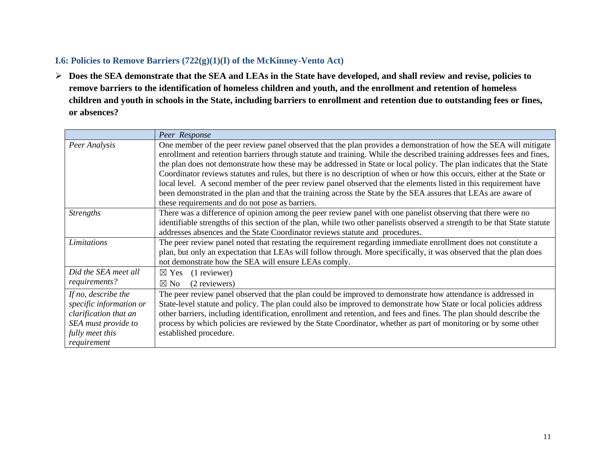#### **I.6: Policies to Remove Barriers (722(g)(1)(I) of the McKinney-Vento Act)**

 **Does the SEA demonstrate that the SEA and LEAs in the State have developed, and shall review and revise, policies to remove barriers to the identification of homeless children and youth, and the enrollment and retention of homeless children and youth in schools in the State, including barriers to enrollment and retention due to outstanding fees or fines, or absences?**

|                                                                                                                                  | Peer Response                                                                                                                                                                                                                                                                                                                                                                                                                                                                                                                                                                                                                                                                                                                                                                         |
|----------------------------------------------------------------------------------------------------------------------------------|---------------------------------------------------------------------------------------------------------------------------------------------------------------------------------------------------------------------------------------------------------------------------------------------------------------------------------------------------------------------------------------------------------------------------------------------------------------------------------------------------------------------------------------------------------------------------------------------------------------------------------------------------------------------------------------------------------------------------------------------------------------------------------------|
| Peer Analysis                                                                                                                    | One member of the peer review panel observed that the plan provides a demonstration of how the SEA will mitigate<br>enrollment and retention barriers through statute and training. While the described training addresses fees and fines,<br>the plan does not demonstrate how these may be addressed in State or local policy. The plan indicates that the State<br>Coordinator reviews statutes and rules, but there is no description of when or how this occurs, either at the State or<br>local level. A second member of the peer review panel observed that the elements listed in this requirement have<br>been demonstrated in the plan and that the training across the State by the SEA assures that LEAs are aware of<br>these requirements and do not pose as barriers. |
| <b>Strengths</b>                                                                                                                 | There was a difference of opinion among the peer review panel with one panelist observing that there were no<br>identifiable strengths of this section of the plan, while two other panelists observed a strength to be that State statute<br>addresses absences and the State Coordinator reviews statute and procedures.                                                                                                                                                                                                                                                                                                                                                                                                                                                            |
| Limitations                                                                                                                      | The peer review panel noted that restating the requirement regarding immediate enrollment does not constitute a<br>plan, but only an expectation that LEAs will follow through. More specifically, it was observed that the plan does<br>not demonstrate how the SEA will ensure LEAs comply.                                                                                                                                                                                                                                                                                                                                                                                                                                                                                         |
| Did the SEA meet all<br>requirements?                                                                                            | (1 reviewer)<br>$\boxtimes$ Yes<br>(2 reviewers)<br>$\boxtimes$ No                                                                                                                                                                                                                                                                                                                                                                                                                                                                                                                                                                                                                                                                                                                    |
| If no, describe the<br>specific information or<br>clarification that an<br>SEA must provide to<br>fully meet this<br>requirement | The peer review panel observed that the plan could be improved to demonstrate how attendance is addressed in<br>State-level statute and policy. The plan could also be improved to demonstrate how State or local policies address<br>other barriers, including identification, enrollment and retention, and fees and fines. The plan should describe the<br>process by which policies are reviewed by the State Coordinator, whether as part of monitoring or by some other<br>established procedure.                                                                                                                                                                                                                                                                               |